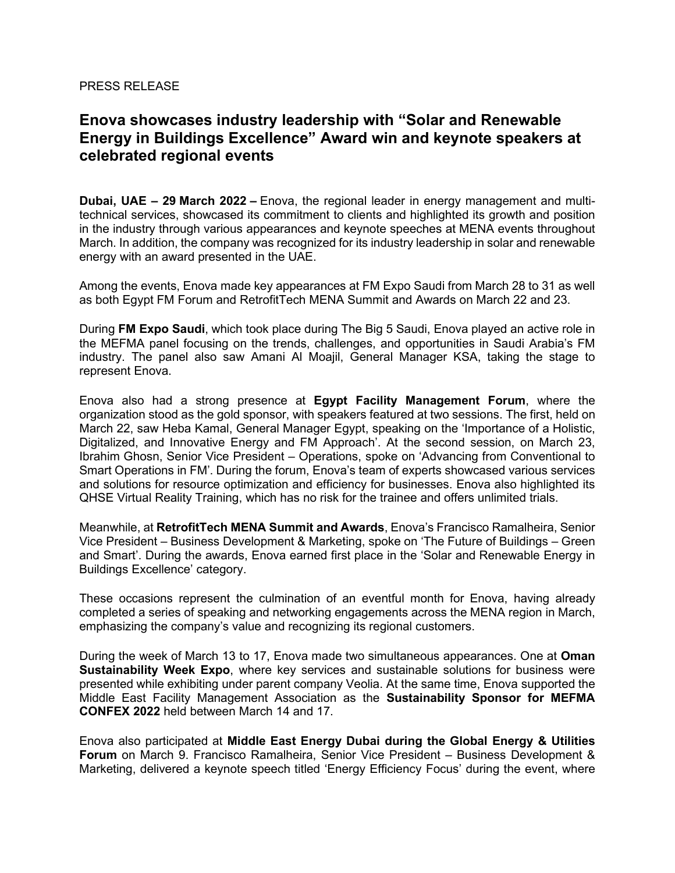## PRESS RELEASE

# **Enova showcases industry leadership with "Solar and Renewable Energy in Buildings Excellence" Award win and keynote speakers at celebrated regional events**

**Dubai, UAE – 29 March 2022 –** Enova, the regional leader in energy management and multitechnical services, showcased its commitment to clients and highlighted its growth and position in the industry through various appearances and keynote speeches at MENA events throughout March. In addition, the company was recognized for its industry leadership in solar and renewable energy with an award presented in the UAE.

Among the events, Enova made key appearances at FM Expo Saudi from March 28 to 31 as well as both Egypt FM Forum and RetrofitTech MENA Summit and Awards on March 22 and 23.

During **FM Expo Saudi**, which took place during The Big 5 Saudi, Enova played an active role in the MEFMA panel focusing on the trends, challenges, and opportunities in Saudi Arabia's FM industry. The panel also saw Amani Al Moajil, General Manager KSA, taking the stage to represent Enova.

Enova also had a strong presence at **Egypt Facility Management Forum**, where the organization stood as the gold sponsor, with speakers featured at two sessions. The first, held on March 22, saw Heba Kamal, General Manager Egypt, speaking on the 'Importance of a Holistic, Digitalized, and Innovative Energy and FM Approach'. At the second session, on March 23, Ibrahim Ghosn, Senior Vice President – Operations, spoke on 'Advancing from Conventional to Smart Operations in FM'. During the forum, Enova's team of experts showcased various services and solutions for resource optimization and efficiency for businesses. Enova also highlighted its QHSE Virtual Reality Training, which has no risk for the trainee and offers unlimited trials.

Meanwhile, at **RetrofitTech MENA Summit and Awards**, Enova's Francisco Ramalheira, Senior Vice President – Business Development & Marketing, spoke on 'The Future of Buildings – Green and Smart'. During the awards, Enova earned first place in the 'Solar and Renewable Energy in Buildings Excellence' category.

These occasions represent the culmination of an eventful month for Enova, having already completed a series of speaking and networking engagements across the MENA region in March, emphasizing the company's value and recognizing its regional customers.

During the week of March 13 to 17, Enova made two simultaneous appearances. One at **Oman Sustainability Week Expo**, where key services and sustainable solutions for business were presented while exhibiting under parent company Veolia. At the same time, Enova supported the Middle East Facility Management Association as the **Sustainability Sponsor for MEFMA CONFEX 2022** held between March 14 and 17.

Enova also participated at **Middle East Energy Dubai during the Global Energy & Utilities Forum** on March 9. Francisco Ramalheira, Senior Vice President – Business Development & Marketing, delivered a keynote speech titled 'Energy Efficiency Focus' during the event, where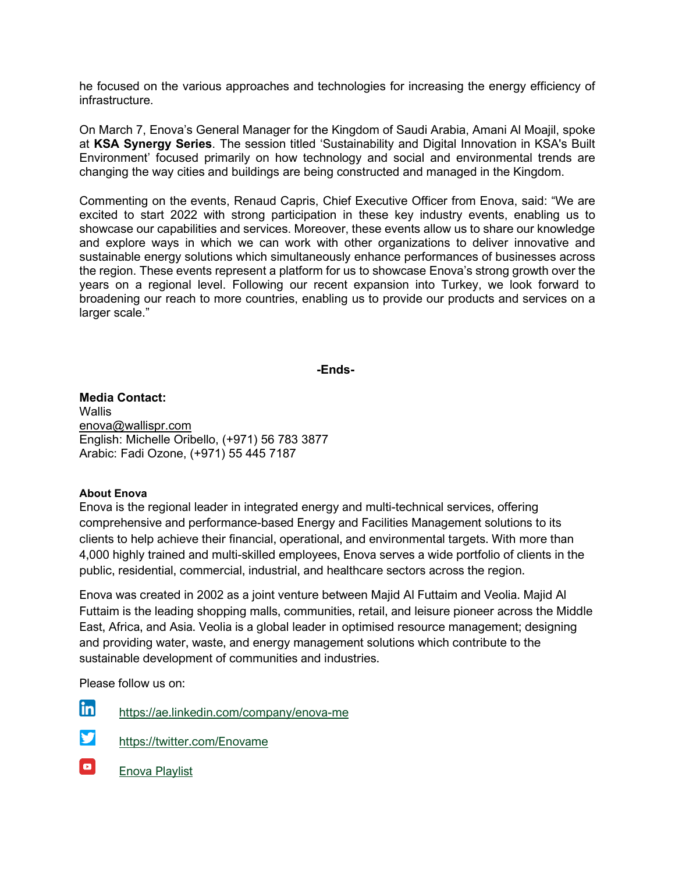he focused on the various approaches and technologies for increasing the energy efficiency of infrastructure.

On March 7, Enova's General Manager for the Kingdom of Saudi Arabia, Amani Al Moajil, spoke at **KSA Synergy Series**. The session titled 'Sustainability and Digital Innovation in KSA's Built Environment' focused primarily on how technology and social and environmental trends are changing the way cities and buildings are being constructed and managed in the Kingdom.

Commenting on the events, Renaud Capris, Chief Executive Officer from Enova, said: "We are excited to start 2022 with strong participation in these key industry events, enabling us to showcase our capabilities and services. Moreover, these events allow us to share our knowledge and explore ways in which we can work with other organizations to deliver innovative and sustainable energy solutions which simultaneously enhance performances of businesses across the region. These events represent a platform for us to showcase Enova's strong growth over the years on a regional level. Following our recent expansion into Turkey, we look forward to broadening our reach to more countries, enabling us to provide our products and services on a larger scale."

## **-Ends-**

**Media Contact: Wallis** [enova@wallispr.com](mailto:enova@wallispr.com) English: Michelle Oribello, (+971) 56 783 3877 Arabic: Fadi Ozone, (+971) 55 445 7187

## **About Enova**

Enova is the regional leader in integrated energy and multi-technical services, offering comprehensive and performance-based Energy and Facilities Management solutions to its clients to help achieve their financial, operational, and environmental targets. With more than 4,000 highly trained and multi-skilled employees, Enova serves a wide portfolio of clients in the public, residential, commercial, industrial, and healthcare sectors across the region.

Enova was created in 2002 as a joint venture between Majid Al Futtaim and Veolia. Majid Al Futtaim is the leading shopping malls, communities, retail, and leisure pioneer across the Middle East, Africa, and Asia. Veolia is a global leader in optimised resource management; designing and providing water, waste, and energy management solutions which contribute to the sustainable development of communities and industries.

Please follow us on:

- lin https://ae.linkedin.com/company/enova-me
- **y** <https://twitter.com/Enovame>
- $\blacksquare$ [Enova Playlist](https://www.youtube.com/playlist?list=PL3e2aW_fekTQ3CE8tDe9a26p6BeP7gq1q)